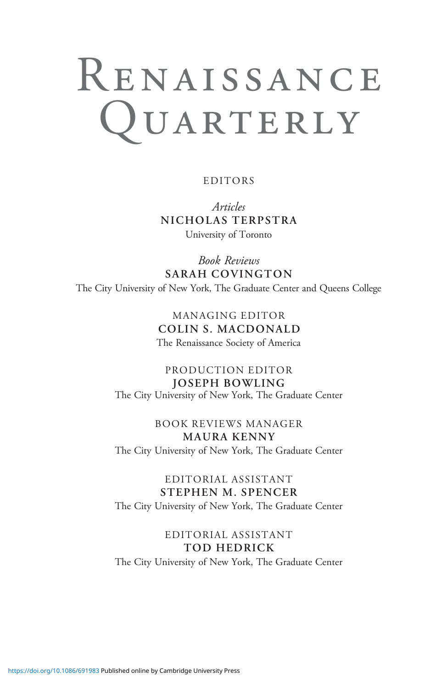## Renaissance QUARTERLY

EDITORS

Articles NICHOLAS TERPSTRA University of Toronto

Book Reviews SARAH COVINGTON The City University of New York, The Graduate Center and Queens College

> MANAGING EDITOR COLIN S. MACDONALD The Renaissance Society of America

PRODUCTION EDITOR JOSEPH BOWLING The City University of New York, The Graduate Center

BOOK REVIEWS MANAGER MAURA KENNY The City University of New York, The Graduate Center

EDITORIAL ASSISTANT STEPHEN M. SPENCER

The City University of New York, The Graduate Center

EDITORIAL ASSISTANT TOD HEDRICK The City University of New York, The Graduate Center